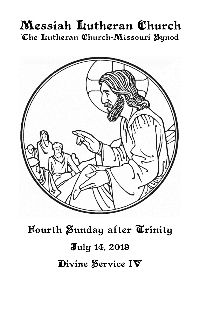# Messiah Lutheran Church The Itutheran Church-Missouri Synod



Fourth Sunday after Trinity July 14, 2019 Divine Service IV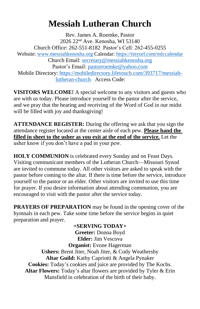## **Messiah Lutheran Church**

Rev. James A. Roemke, Pastor 2026 22nd Ave. Kenosha, WI 53140 Church Office: 262-551-8182 Pastor's Cell: 262-455-0255 Website: [www.messiahkenosha.org](http://www.messiahkenosha.org/) Calendar:<https://tinyurl.com/mlccalendar> Church Email:<secretary@messiahkenosha.org> Pastor's Email: [pastorroemke@yahoo.com](mailto:pastorroemke@yahoo.com) Mobile Directory: [https://mobiledirectory.lifetouch.com/393717/messiah](https://mobiledirectory.lifetouch.com/393717/messiah-lutheran-church)[lutheran-church](https://mobiledirectory.lifetouch.com/393717/messiah-lutheran-church) Access Code:

**VISITORS WELCOME!** A special welcome to any visitors and guests who are with us today. Please introduce yourself to the pastor after the service, and we pray that the hearing and receiving of the Word of God in our midst will be filled with joy and thanksgiving!

**ATTENDANCE REGISTER:** During the offering we ask that you sign the attendance register located at the center aisle of each pew. **Please hand the filled in sheet to the usher as you exit at the end of the service.** Let the usher know if you don't have a pad in your pew.

**HOLY COMMUNION** is celebrated every Sunday and on Feast Days. Visiting communicant members of the Lutheran Church—Missouri Synod are invited to commune today. All other visitors are asked to speak with the pastor before coming to the altar. If there is time before the service, introduce yourself to the pastor or an elder. Other visitors are invited to use this time for prayer. If you desire information about attending communion, you are encouraged to visit with the pastor after the service today.

**PRAYERS OF PREPARATION** may be found in the opening cover of the hymnals in each pew. Take some time before the service begins in quiet preparation and prayer.

**+SERVING TODAY+ Greeter:** Donna Boyd **Elder:** Jim Vescova **Organist:** Evone Hagerman **Ushers:** Brent Jiter, Noah Jiter, & Cody Weathersby **Altar Guild:** Kathy Capriotti & Angela Pynaker **Cookies:** Today's cookies and juice are provided by The Kochs. **Altar Flowers:** Today's altar flowers are provided by Tyler & Erin Mansfield in celebration of the birth of their baby.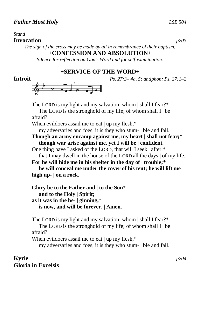### *Stand*

### **Invocation** *p203*

*The sign of the cross may be made by all in remembrance of their baptism.*

### **+CONFESSION AND ABSOLUTION+**

*Silence for reflection on God's Word and for self-examination.*

### **+SERVICE OF THE WORD+**

```
Introit Ps. 27:3– 4a, 5; antiphon: Ps. 27:1–2
```


The LORD is my light and my salvation; whom | shall I fear?\* The LORD is the stronghold of my life; of whom shall  $I \mid be$ afraid? When evildoers assail me to eat | up my flesh,\* my adversaries and foes, it is they who stum- | ble and fall. **Though an army encamp against me, my heart | shall not fear;\* though war arise against me, yet I will be | confident.** One thing have I asked of the LORD, that will I seek | after:\* that I may dwell in the house of the LORD all the days | of my life. **For he will hide me in his shelter in the day of | trouble;\* he will conceal me under the cover of his tent; he will lift me high up- | on a rock.**

**Glory be to the Father and** | **to the Son**\*  **and to the Holy** | **Spirit; as it was in the be-** | **ginning,**\*  **is now, and will be forever.** | **Amen.**

The LORD is my light and my salvation; whom | shall I fear?\* The LORD is the stronghold of my life; of whom shall  $I \mid be$ afraid?

When evildoers assail me to eat | up my flesh,\*

my adversaries and foes, it is they who stum- | ble and fall.

**Kyrie** *p204* **Gloria in Excelsis**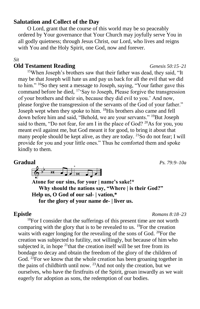### **Salutation and Collect of the Day**

O Lord, grant that the course of this world may be so peaceably ordered by Your governance that Your Church may joyfully serve You in all godly quietness; through Jesus Christ, our Lord, who lives and reigns with You and the Holy Spirit, one God, now and forever.

### *Sit*

### **Old Testament Reading** *Genesis 50:15–21*

<sup>15</sup>When Joseph's brothers saw that their father was dead, they said, "It may be that Joseph will hate us and pay us back for all the evil that we did to him." <sup>16</sup>So they sent a message to Joseph, saying, "Your father gave this command before he died, <sup>17</sup>'Say to Joseph, Please forgive the transgression of your brothers and their sin, because they did evil to you.' And now, please forgive the transgression of the servants of the God of your father." Joseph wept when they spoke to him. <sup>18</sup>His brothers also came and fell down before him and said, "Behold, we are your servants." <sup>19</sup>But Joseph said to them, "Do not fear, for am I in the place of God? <sup>20</sup>As for you, you meant evil against me, but God meant it for good, to bring it about that many people should be kept alive, as they are today. <sup>21</sup>So do not fear; I will provide for you and your little ones." Thus he comforted them and spoke kindly to them.

### **Gradual** *Ps. 79:9–10a*



**Atone for our sins, for your | name's sake!\* Why should the nations say, "Where | is their God?" Help us, O God of our sal- | vation,\* for the glory of your name de- | liver us.**

**Epistle** *Romans 8:18–23*

<sup>18</sup>For I consider that the sufferings of this present time are not worth comparing with the glory that is to be revealed to us. <sup>19</sup>For the creation waits with eager longing for the revealing of the sons of God. <sup>20</sup>For the creation was subjected to futility, not willingly, but because of him who subjected it, in hope  $21$ <sup>that the creation itself will be set free from its</sup> bondage to decay and obtain the freedom of the glory of the children of God. <sup>22</sup>For we know that the whole creation has been groaning together in the pains of childbirth until now.  $^{23}$ And not only the creation, but we ourselves, who have the firstfruits of the Spirit, groan inwardly as we wait eagerly for adoption as sons, the redemption of our bodies.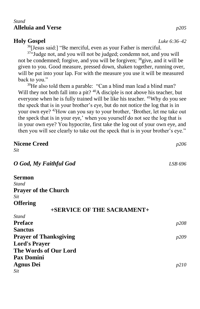### *Stand* **Alleluia and Verse** *p205*

### **Holy Gospel** *Luke 6:36–42*

<sup>36</sup>[Jesus said:] "Be merciful, even as your Father is merciful.

<sup>37</sup>"Judge not, and you will not be judged; condemn not, and you will not be condemned; forgive, and you will be forgiven; <sup>38</sup>give, and it will be given to you. Good measure, pressed down, shaken together, running over, will be put into your lap. For with the measure you use it will be measured back to you."

<sup>39</sup>He also told them a parable: "Can a blind man lead a blind man? Will they not both fall into a pit? <sup>40</sup>A disciple is not above his teacher, but everyone when he is fully trained will be like his teacher. <sup>41</sup>Why do you see the speck that is in your brother's eye, but do not notice the log that is in your own eye? <sup>42</sup>How can you say to your brother, 'Brother, let me take out the speck that is in your eye,' when you yourself do not see the log that is in your own eye? You hypocrite, first take the log out of your own eye, and then you will see clearly to take out the speck that is in your brother's eye."

| <b>Nicene Creed</b>           | p206         |
|-------------------------------|--------------|
| Sit                           |              |
| O God, My Faithful God        | LSB 696      |
| Sermon                        |              |
| Stand                         |              |
| <b>Prayer of the Church</b>   |              |
| Sit                           |              |
| <b>Offering</b>               |              |
| +SERVICE OF THE SACRAMENT+    |              |
| Stand                         |              |
| <b>Preface</b>                | p208         |
| <b>Sanctus</b>                |              |
| <b>Prayer of Thanksgiving</b> | <i>p</i> 209 |
| <b>Lord's Prayer</b>          |              |
| The Words of Our Lord         |              |
| <b>Pax Domini</b>             |              |
| <b>Agnus Dei</b>              | p210         |
| Sit                           |              |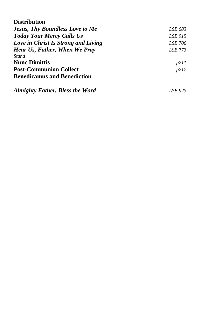| <b>Distribution</b>                    |              |
|----------------------------------------|--------------|
| <b>Jesus, Thy Boundless Love to Me</b> | LSB 683      |
| <b>Today Your Mercy Calls Us</b>       | LSB 915      |
| Love in Christ Is Strong and Living    | LSB 706      |
| <b>Hear Us, Father, When We Pray</b>   | LSB 773      |
| <b>Stand</b>                           |              |
| <b>Nunc Dimittis</b>                   | <i>p</i> 211 |
| <b>Post-Communion Collect</b>          | p212         |
| <b>Benedicamus and Benediction</b>     |              |
| <b>Almighty Father, Bless the Word</b> | LSB 923      |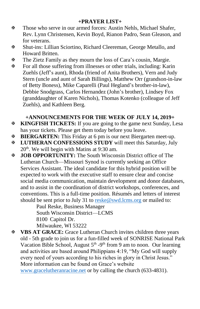### **+PRAYER LIST+**

- Those who serve in our armed forces: Austin Nehls, Michael Shafer, Rev. Lynn Christensen, Kevin Boyd, Rianon Padro, Sean Gleason, and for veterans.
- Shut-ins: Lillian Sciortino, Richard Cleereman, George Metallo, and Howard Britten.
- The Zietz Family as they mourn the loss of Cara's cousin, Margie.
- $\mathbf{\Phi}$  For all those suffering from illnesses or other trials, including: Karin Zuehls (Jeff's aunt), Rhoda (friend of Anita Brothers), Vern and Judy Stern (uncle and aunt of Sarah Billings), Matthew Orr (grandson-in-law of Betty Boness), Mike Caparelli (Paul Hegland's brother-in-law), Debbie Snodgrass, Carlos Hernandez (John's brother), Lindsey Fox (granddaughter of Karen Nichols), Thomas Kotenko (colleague of Jeff Zuehls), and Kathleen Berg.

### **+ANNOUNCEMENTS FOR THE WEEK OF JULY 14, 2019+**

- **KINGFISH TICKETS:** If you are going to the game next Sunday, Lesa has your tickets. Please get them today before you leave.
- **BIERGARTEN:** This Friday at 6 pm is our next Biergarten meet-up.
- **LUTHERAN CONFESSIONS STUDY** will meet this Saturday, July 20<sup>th</sup>. We will begin with Matins at 9:30 am.
- **JOB OPPORTUNITY:** The South Wisconsin District office of The Lutheran Church—Missouri Synod is currently seeking an Office Services Assistant. The ideal candidate for this hybrid position will be expected to work with the executive staff to ensure clear and concise social media communication, maintain development and donor databases, and to assist in the coordination of district workshops, conferences, and conventions. This is a full-time position. Résumés and letters of interest should be sent prior to July 31 to<reske@swd.lcms.org> or mailed to:

Paul Reske, Business Manager South Wisconsin District—LCMS 8100 Capitol Dr. Milwaukee, WI 53222

 **VBS AT GRACE:** Grace Lutheran Church invites children three years old - 5th grade to join us for a fun-filled week of SONRISE National Park Vacation Bible School, August  $5<sup>th</sup> - 9<sup>th</sup>$  from 9 am to noon. Our learning and activities are based around Philippians 4:19, "My God will supply every need of yours according to his riches in glory in Christ Jesus." More information can be found on Grace's website <www.gracelutheranracine.net> or by calling the church (633-4831).